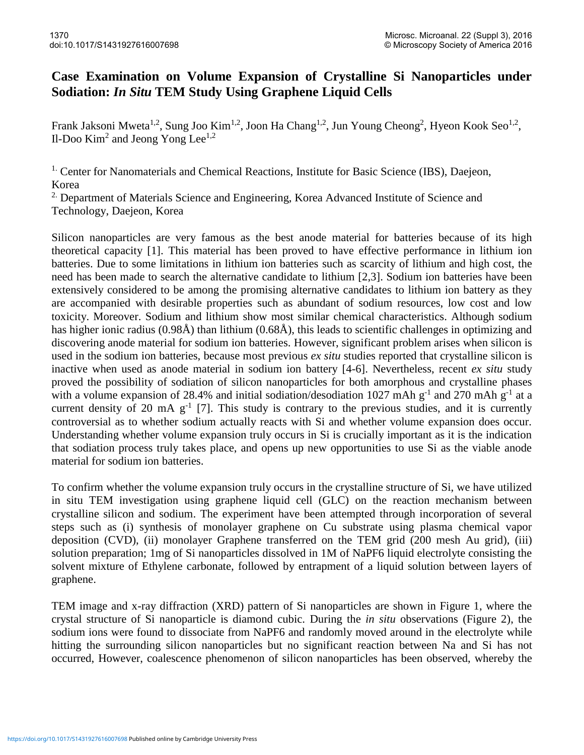## **Case Examination on Volume Expansion of Crystalline Si Nanoparticles under Sodiation:** *In Situ* **TEM Study Using Graphene Liquid Cells**

Frank Jaksoni Mweta<sup>1,2</sup>, Sung Joo Kim<sup>1,2</sup>, Joon Ha Chang<sup>1,2</sup>, Jun Young Cheong<sup>2</sup>, Hyeon Kook Seo<sup>1,2</sup>, Il-Doo Kim<sup>2</sup> and Jeong Yong Lee<sup>1,2</sup>

<sup>1.</sup> Center for Nanomaterials and Chemical Reactions, Institute for Basic Science (IBS), Daejeon, Korea

<sup>2.</sup> Department of Materials Science and Engineering, Korea Advanced Institute of Science and Technology, Daejeon, Korea

Silicon nanoparticles are very famous as the best anode material for batteries because of its high theoretical capacity [1]. This material has been proved to have effective performance in lithium ion batteries. Due to some limitations in lithium ion batteries such as scarcity of lithium and high cost, the need has been made to search the alternative candidate to lithium [2,3]. Sodium ion batteries have been extensively considered to be among the promising alternative candidates to lithium ion battery as they are accompanied with desirable properties such as abundant of sodium resources, low cost and low toxicity. Moreover. Sodium and lithium show most similar chemical characteristics. Although sodium has higher ionic radius (0.98Å) than lithium (0.68Å), this leads to scientific challenges in optimizing and discovering anode material for sodium ion batteries. However, significant problem arises when silicon is used in the sodium ion batteries, because most previous *ex situ* studies reported that crystalline silicon is inactive when used as anode material in sodium ion battery [4-6]. Nevertheless, recent *ex situ* study proved the possibility of sodiation of silicon nanoparticles for both amorphous and crystalline phases with a volume expansion of 28.4% and initial sodiation/desodiation 1027 mAh  $g^{-1}$  and 270 mAh  $g^{-1}$  at a current density of 20 mA  $g^{-1}$  [7]. This study is contrary to the previous studies, and it is currently controversial as to whether sodium actually reacts with Si and whether volume expansion does occur. Understanding whether volume expansion truly occurs in Si is crucially important as it is the indication that sodiation process truly takes place, and opens up new opportunities to use Si as the viable anode material for sodium ion batteries.

To confirm whether the volume expansion truly occurs in the crystalline structure of Si, we have utilized in situ TEM investigation using graphene liquid cell (GLC) on the reaction mechanism between crystalline silicon and sodium. The experiment have been attempted through incorporation of several steps such as (i) synthesis of monolayer graphene on Cu substrate using plasma chemical vapor deposition (CVD), (ii) monolayer Graphene transferred on the TEM grid (200 mesh Au grid), (iii) solution preparation; 1mg of Si nanoparticles dissolved in 1M of NaPF6 liquid electrolyte consisting the solvent mixture of Ethylene carbonate, followed by entrapment of a liquid solution between layers of graphene.

TEM image and x-ray diffraction (XRD) pattern of Si nanoparticles are shown in Figure 1, where the crystal structure of Si nanoparticle is diamond cubic. During the *in situ* observations (Figure 2), the sodium ions were found to dissociate from NaPF6 and randomly moved around in the electrolyte while hitting the surrounding silicon nanoparticles but no significant reaction between Na and Si has not occurred, However, coalescence phenomenon of silicon nanoparticles has been observed, whereby the